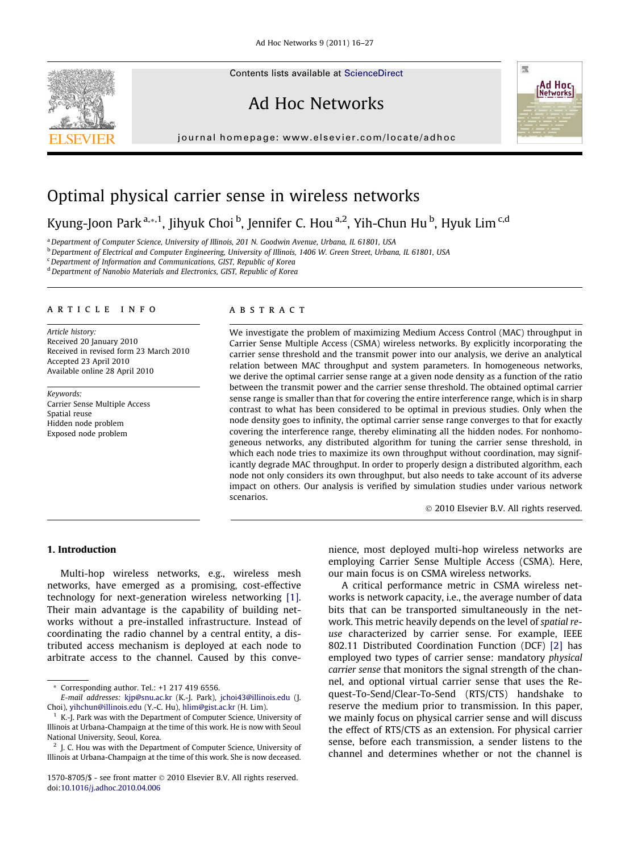Contents lists available at [ScienceDirect](http://www.sciencedirect.com/science/journal/15708705)

# Ad Hoc Networks

journal homepage: [www.elsevier.com/locate/adhoc](http://www.elsevier.com/locate/adhoc)





# Optimal physical carrier sense in wireless networks

Kyung-Joon Park <sup>a,</sup>\*,<sup>1</sup>, Jihyuk Choi <sup>b</sup>, Jennifer C. Hou <sup>a,2</sup>, Yih-Chun Hu <sup>b</sup>, Hyuk Lim <sup>c,d</sup>

<sup>a</sup> Department of Computer Science, University of Illinois, 201 N. Goodwin Avenue, Urbana, IL 61801, USA

<sup>b</sup> Department of Electrical and Computer Engineering, University of Illinois, 1406 W. Green Street, Urbana, IL 61801, USA

 $\epsilon$  Department of Information and Communications, GIST, Republic of Korea

<sup>d</sup> Department of Nanobio Materials and Electronics, GIST, Republic of Korea

#### article info

Article history: Received 20 January 2010 Received in revised form 23 March 2010 Accepted 23 April 2010 Available online 28 April 2010

Keywords: Carrier Sense Multiple Access Spatial reuse Hidden node problem Exposed node problem

# ABSTRACT

We investigate the problem of maximizing Medium Access Control (MAC) throughput in Carrier Sense Multiple Access (CSMA) wireless networks. By explicitly incorporating the carrier sense threshold and the transmit power into our analysis, we derive an analytical relation between MAC throughput and system parameters. In homogeneous networks, we derive the optimal carrier sense range at a given node density as a function of the ratio between the transmit power and the carrier sense threshold. The obtained optimal carrier sense range is smaller than that for covering the entire interference range, which is in sharp contrast to what has been considered to be optimal in previous studies. Only when the node density goes to infinity, the optimal carrier sense range converges to that for exactly covering the interference range, thereby eliminating all the hidden nodes. For nonhomogeneous networks, any distributed algorithm for tuning the carrier sense threshold, in which each node tries to maximize its own throughput without coordination, may significantly degrade MAC throughput. In order to properly design a distributed algorithm, each node not only considers its own throughput, but also needs to take account of its adverse impact on others. Our analysis is verified by simulation studies under various network scenarios.

- 2010 Elsevier B.V. All rights reserved.

# 1. Introduction

Multi-hop wireless networks, e.g., wireless mesh networks, have emerged as a promising, cost-effective technology for next-generation wireless networking [\[1\]](#page-9-0). Their main advantage is the capability of building networks without a pre-installed infrastructure. Instead of coordinating the radio channel by a central entity, a distributed access mechanism is deployed at each node to arbitrate access to the channel. Caused by this conve-

Corresponding author. Tel.: +1 217 419 6556.

nience, most deployed multi-hop wireless networks are employing Carrier Sense Multiple Access (CSMA). Here, our main focus is on CSMA wireless networks.

A critical performance metric in CSMA wireless networks is network capacity, i.e., the average number of data bits that can be transported simultaneously in the network. This metric heavily depends on the level of spatial reuse characterized by carrier sense. For example, IEEE 802.11 Distributed Coordination Function (DCF) [\[2\]](#page-9-0) has employed two types of carrier sense: mandatory physical carrier sense that monitors the signal strength of the channel, and optional virtual carrier sense that uses the Request-To-Send/Clear-To-Send (RTS/CTS) handshake to reserve the medium prior to transmission. In this paper, we mainly focus on physical carrier sense and will discuss the effect of RTS/CTS as an extension. For physical carrier sense, before each transmission, a sender listens to the channel and determines whether or not the channel is

E-mail addresses: [kjp@snu.ac.kr](mailto:kjp@snu.ac.kr) (K.-J. Park), [jchoi43@illinois.edu](mailto:jchoi43@illinois.edu) (J. Choi), [yihchun@illinois.edu](mailto:yihchun@illinois.edu) (Y.-C. Hu), [hlim@gist.ac.kr](mailto:hlim@gist.ac.kr) (H. Lim).

K.-J. Park was with the Department of Computer Science, University of Illinois at Urbana-Champaign at the time of this work. He is now with Seoul National University, Seoul, Korea.

<sup>&</sup>lt;sup>2</sup> J. C. Hou was with the Department of Computer Science, University of Illinois at Urbana-Champaign at the time of this work. She is now deceased.

 $1570-8705/\$  - see front matter  $\odot$  2010 Elsevier B.V. All rights reserved. doi[:10.1016/j.adhoc.2010.04.006](http://dx.doi.org/10.1016/j.adhoc.2010.04.006)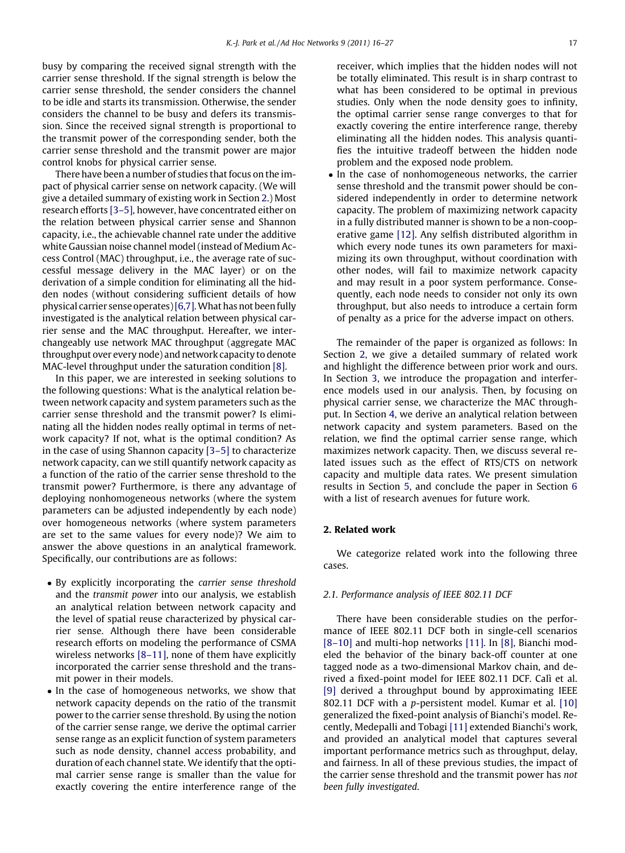busy by comparing the received signal strength with the carrier sense threshold. If the signal strength is below the carrier sense threshold, the sender considers the channel to be idle and starts its transmission. Otherwise, the sender considers the channel to be busy and defers its transmission. Since the received signal strength is proportional to the transmit power of the corresponding sender, both the carrier sense threshold and the transmit power are major control knobs for physical carrier sense.

There have been a number of studies that focus on the impact of physical carrier sense on network capacity. (We will give a detailed summary of existing work in Section 2.) Most research efforts [\[3–5\],](#page-9-0) however, have concentrated either on the relation between physical carrier sense and Shannon capacity, i.e., the achievable channel rate under the additive white Gaussian noise channel model (instead of Medium Access Control (MAC) throughput, i.e., the average rate of successful message delivery in the MAC layer) or on the derivation of a simple condition for eliminating all the hidden nodes (without considering sufficient details of how physical carrier sense operates)[\[6,7\]](#page-9-0).What has not been fully investigated is the analytical relation between physical carrier sense and the MAC throughput. Hereafter, we interchangeably use network MAC throughput (aggregate MAC throughput over every node) and network capacity to denote MAC-level throughput under the saturation condition [\[8\]](#page-9-0).

In this paper, we are interested in seeking solutions to the following questions: What is the analytical relation between network capacity and system parameters such as the carrier sense threshold and the transmit power? Is eliminating all the hidden nodes really optimal in terms of network capacity? If not, what is the optimal condition? As in the case of using Shannon capacity [\[3–5\]](#page-9-0) to characterize network capacity, can we still quantify network capacity as a function of the ratio of the carrier sense threshold to the transmit power? Furthermore, is there any advantage of deploying nonhomogeneous networks (where the system parameters can be adjusted independently by each node) over homogeneous networks (where system parameters are set to the same values for every node)? We aim to answer the above questions in an analytical framework. Specifically, our contributions are as follows:

- By explicitly incorporating the *carrier sense threshold* and the transmit power into our analysis, we establish an analytical relation between network capacity and the level of spatial reuse characterized by physical carrier sense. Although there have been considerable research efforts on modeling the performance of CSMA wireless networks [\[8–11\],](#page-9-0) none of them have explicitly incorporated the carrier sense threshold and the transmit power in their models.
- In the case of homogeneous networks, we show that network capacity depends on the ratio of the transmit power to the carrier sense threshold. By using the notion of the carrier sense range, we derive the optimal carrier sense range as an explicit function of system parameters such as node density, channel access probability, and duration of each channel state. We identify that the optimal carrier sense range is smaller than the value for exactly covering the entire interference range of the

receiver, which implies that the hidden nodes will not be totally eliminated. This result is in sharp contrast to what has been considered to be optimal in previous studies. Only when the node density goes to infinity, the optimal carrier sense range converges to that for exactly covering the entire interference range, thereby eliminating all the hidden nodes. This analysis quantifies the intuitive tradeoff between the hidden node problem and the exposed node problem.

• In the case of nonhomogeneous networks, the carrier sense threshold and the transmit power should be considered independently in order to determine network capacity. The problem of maximizing network capacity in a fully distributed manner is shown to be a non-cooperative game [\[12\]](#page-9-0). Any selfish distributed algorithm in which every node tunes its own parameters for maximizing its own throughput, without coordination with other nodes, will fail to maximize network capacity and may result in a poor system performance. Consequently, each node needs to consider not only its own throughput, but also needs to introduce a certain form of penalty as a price for the adverse impact on others.

The remainder of the paper is organized as follows: In Section 2, we give a detailed summary of related work and highlight the difference between prior work and ours. In Section 3, we introduce the propagation and interference models used in our analysis. Then, by focusing on physical carrier sense, we characterize the MAC throughput. In Section 4, we derive an analytical relation between network capacity and system parameters. Based on the relation, we find the optimal carrier sense range, which maximizes network capacity. Then, we discuss several related issues such as the effect of RTS/CTS on network capacity and multiple data rates. We present simulation results in Section 5, and conclude the paper in Section 6 with a list of research avenues for future work.

#### 2. Related work

We categorize related work into the following three cases.

## 2.1. Performance analysis of IEEE 802.11 DCF

There have been considerable studies on the performance of IEEE 802.11 DCF both in single-cell scenarios [\[8–10\]](#page-9-0) and multi-hop networks [\[11\]](#page-9-0). In [\[8\]](#page-9-0), Bianchi modeled the behavior of the binary back-off counter at one tagged node as a two-dimensional Markov chain, and derived a fixed-point model for IEEE 802.11 DCF. Calì et al. [\[9\]](#page-9-0) derived a throughput bound by approximating IEEE 802.11 DCF with a *p*-persistent model. Kumar et al. [\[10\]](#page-9-0) generalized the fixed-point analysis of Bianchi's model. Recently, Medepalli and Tobagi [\[11\]](#page-9-0) extended Bianchi's work, and provided an analytical model that captures several important performance metrics such as throughput, delay, and fairness. In all of these previous studies, the impact of the carrier sense threshold and the transmit power has not been fully investigated.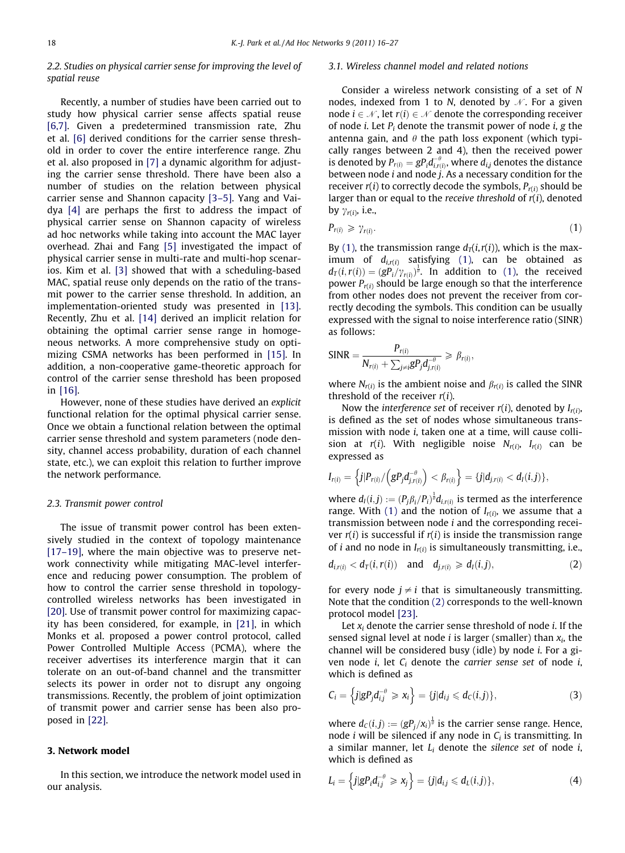# <span id="page-2-0"></span>2.2. Studies on physical carrier sense for improving the level of spatial reuse

Recently, a number of studies have been carried out to study how physical carrier sense affects spatial reuse [\[6,7\].](#page-9-0) Given a predetermined transmission rate, Zhu et al. [\[6\]](#page-9-0) derived conditions for the carrier sense threshold in order to cover the entire interference range. Zhu et al. also proposed in [\[7\]](#page-9-0) a dynamic algorithm for adjusting the carrier sense threshold. There have been also a number of studies on the relation between physical carrier sense and Shannon capacity [\[3–5\]](#page-9-0). Yang and Vaidya [\[4\]](#page-9-0) are perhaps the first to address the impact of physical carrier sense on Shannon capacity of wireless ad hoc networks while taking into account the MAC layer overhead. Zhai and Fang [\[5\]](#page-9-0) investigated the impact of physical carrier sense in multi-rate and multi-hop scenarios. Kim et al. [\[3\]](#page-9-0) showed that with a scheduling-based MAC, spatial reuse only depends on the ratio of the transmit power to the carrier sense threshold. In addition, an implementation-oriented study was presented in [\[13\]](#page-9-0). Recently, Zhu et al. [\[14\]](#page-9-0) derived an implicit relation for obtaining the optimal carrier sense range in homogeneous networks. A more comprehensive study on optimizing CSMA networks has been performed in [\[15\].](#page-9-0) In addition, a non-cooperative game-theoretic approach for control of the carrier sense threshold has been proposed in [\[16\]](#page-10-0).

However, none of these studies have derived an explicit functional relation for the optimal physical carrier sense. Once we obtain a functional relation between the optimal carrier sense threshold and system parameters (node density, channel access probability, duration of each channel state, etc.), we can exploit this relation to further improve the network performance.

#### 2.3. Transmit power control

The issue of transmit power control has been extensively studied in the context of topology maintenance [\[17–19\],](#page-10-0) where the main objective was to preserve network connectivity while mitigating MAC-level interference and reducing power consumption. The problem of how to control the carrier sense threshold in topologycontrolled wireless networks has been investigated in [\[20\].](#page-10-0) Use of transmit power control for maximizing capacity has been considered, for example, in [\[21\],](#page-10-0) in which Monks et al. proposed a power control protocol, called Power Controlled Multiple Access (PCMA), where the receiver advertises its interference margin that it can tolerate on an out-of-band channel and the transmitter selects its power in order not to disrupt any ongoing transmissions. Recently, the problem of joint optimization of transmit power and carrier sense has been also proposed in [\[22\]](#page-10-0).

## 3. Network model

In this section, we introduce the network model used in our analysis.

# 3.1. Wireless channel model and related notions

Consider a wireless network consisting of a set of N nodes, indexed from 1 to N, denoted by  $\mathcal{N}$ . For a given node  $i \in \mathcal{N}$ , let  $r(i) \in \mathcal{N}$  denote the corresponding receiver of node *i*. Let  $P_i$  denote the transmit power of node *i*, g the antenna gain, and  $\theta$  the path loss exponent (which typically ranges between 2 and 4), then the received power is denoted by  $P_{r(i)}=gP_id_{i,r(i)}^{-\theta},$  where  $d_{i,j}$  denotes the distance between node  $i$  and node  $j$ . As a necessary condition for the receiver  $r(i)$  to correctly decode the symbols,  $P_{r(i)}$  should be larger than or equal to the receive threshold of  $r(i)$ , denoted by  $\gamma_{r(i)}$ , i.e.,

$$
P_{r(i)} \geqslant \gamma_{r(i)}.\tag{1}
$$

By (1), the transmission range  $d<sub>T</sub>(i,r(i))$ , which is the maximum of  $d_{i,r(i)}$  satisfying (1), can be obtained as  $d_T(i, r(i)) = (gP_i/\gamma_{r(i)})^{\frac{1}{2}}$ . In addition to (1), the received power  $P_{r(i)}$  should be large enough so that the interference from other nodes does not prevent the receiver from correctly decoding the symbols. This condition can be usually expressed with the signal to noise interference ratio (SINR) as follows:

$$
\text{SINR} = \frac{P_{r(i)}}{N_{r(i)} + \sum_{j \neq i} g P_j d_{j,r(i)}^{-\theta}} \geq \beta_{r(i)},
$$

where  $N_{r(i)}$  is the ambient noise and  $\beta_{r(i)}$  is called the SINR threshold of the receiver  $r(i)$ .

Now the interference set of receiver  $r(i)$ , denoted by  $I_{r(i)}$ , is defined as the set of nodes whose simultaneous transmission with node i, taken one at a time, will cause collision at  $r(i)$ . With negligible noise  $N_{r(i)}$ ,  $I_{r(i)}$  can be expressed as

$$
I_{r(i)} = \left\{j|P_{r(i)}/\left(gP_jd_{j,r(i)}^{-\theta}\right) < \beta_{r(i)}\right\} = \{j|d_{j,r(i)} < d_I(i,j)\},
$$

where  $d_I(i,j) := (P_j \beta_i/P_i)^{\frac{1}{\theta}} d_{i,r(i)}$  is termed as the interference range. With (1) and the notion of  $I_{r(i)}$ , we assume that a transmission between node i and the corresponding receiver  $r(i)$  is successful if  $r(i)$  is inside the transmission range of *i* and no node in  $I_{r(i)}$  is simultaneously transmitting, i.e.,

$$
d_{i,r(i)} < d_T(i,r(i)) \quad \text{and} \quad d_{j,r(i)} \geq d_I(i,j), \tag{2}
$$

for every node  $j \neq i$  that is simultaneously transmitting. Note that the condition (2) corresponds to the well-known protocol model [\[23\]](#page-10-0).

Let  $x_i$  denote the carrier sense threshold of node *i*. If the sensed signal level at node  $i$  is larger (smaller) than  $x_i$ , the channel will be considered busy (idle) by node  $i$ . For a given node i, let  $C_i$  denote the carrier sense set of node i, which is defined as

$$
C_i = \left\{ j | g P_j d_{ij}^{-\theta} \geqslant x_i \right\} = \{ j | d_{ij} \leqslant d_C(i,j) \}, \tag{3}
$$

where  $d_C(i,j) := (gP_j/x_i)^{\frac{1}{\theta}}$  is the carrier sense range. Hence, node *i* will be silenced if any node in  $C_i$  is transmitting. In a similar manner, let  $L_i$  denote the silence set of node  $i$ , which is defined as

$$
L_i = \left\{ j | g P_i d_{ij}^{-\theta} \geqslant x_j \right\} = \left\{ j | d_{ij} \leqslant d_L(i,j) \right\},\tag{4}
$$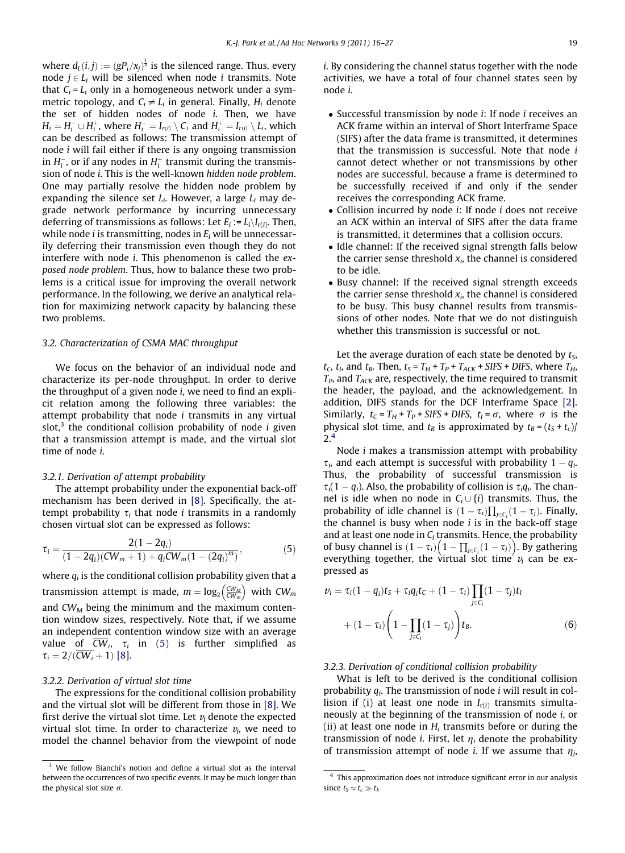<span id="page-3-0"></span>where  $d_L(i,j) := (gP_i/x_j)^{\frac{1}{\theta}}$  is the silenced range. Thus, every node  $j \in L_i$  will be silenced when node *i* transmits. Note that  $C_i = L_i$  only in a homogeneous network under a symmetric topology, and  $C_i \neq L_i$  in general. Finally,  $H_i$  denote the set of hidden nodes of node i. Then, we have  $H_i = H_i^- \cup H_i^+$ , where  $H_i^- = I_{r(i)} \setminus C_i$  and  $H_i^+ = I_{r(i)} \setminus L_i$ , which can be described as follows: The transmission attempt of node i will fail either if there is any ongoing transmission in  $H_i^-$ , or if any nodes in  $H_i^+$  transmit during the transmission of node i. This is the well-known hidden node problem. One may partially resolve the hidden node problem by expanding the silence set  $L_i$ . However, a large  $L_i$  may degrade network performance by incurring unnecessary deferring of transmissions as follows: Let  $E_i := L_i \setminus I_{r(i)}$ . Then, while node *i* is transmitting, nodes in  $E_i$  will be unnecessarily deferring their transmission even though they do not interfere with node i. This phenomenon is called the exposed node problem. Thus, how to balance these two problems is a critical issue for improving the overall network performance. In the following, we derive an analytical relation for maximizing network capacity by balancing these two problems.

## 3.2. Characterization of CSMA MAC throughput

We focus on the behavior of an individual node and characterize its per-node throughput. In order to derive the throughput of a given node i, we need to find an explicit relation among the following three variables: the attempt probability that node  $i$  transmits in any virtual slot, $3$  the conditional collision probability of node *i* given that a transmission attempt is made, and the virtual slot time of node i.

#### 3.2.1. Derivation of attempt probability

The attempt probability under the exponential back-off mechanism has been derived in [\[8\]](#page-9-0). Specifically, the attempt probability  $\tau_i$  that node *i* transmits in a randomly chosen virtual slot can be expressed as follows:

$$
\tau_i = \frac{2(1 - 2q_i)}{(1 - 2q_i)(CW_m + 1) + q_i CW_m (1 - (2q_i)^m)},
$$
\n(5)

where  $q_i$  is the conditional collision probability given that a transmission attempt is made,  $m = \log_2\left(\frac{C W_M}{C W_m}\right)$  $\left(\frac{CW_M}{CW_m}\right)$  with  $CW_m$ and  $CW_M$  being the minimum and the maximum contention window sizes, respectively. Note that, if we assume an independent contention window size with an average value of  $\overline{CW}_i$ ,  $\tau_i$  in (5) is further simplified as  $\tau_i = 2/(\overline{CW_i} + 1)$  [\[8\].](#page-9-0)

#### 3.2.2. Derivation of virtual slot time

The expressions for the conditional collision probability and the virtual slot will be different from those in [\[8\].](#page-9-0) We first derive the virtual slot time. Let  $v_i$  denote the expected virtual slot time. In order to characterize  $v_i$ , we need to model the channel behavior from the viewpoint of node i. By considering the channel status together with the node activities, we have a total of four channel states seen by node i.

- Successful transmission by node *i*: If node *i* receives an ACK frame within an interval of Short Interframe Space (SIFS) after the data frame is transmitted, it determines that the transmission is successful. Note that node  $i$ cannot detect whether or not transmissions by other nodes are successful, because a frame is determined to be successfully received if and only if the sender receives the corresponding ACK frame.
- Collision incurred by node *i*: If node *i* does not receive an ACK within an interval of SIFS after the data frame is transmitted, it determines that a collision occurs.
- Idle channel: If the received signal strength falls below the carrier sense threshold  $x<sub>i</sub>$ , the channel is considered to be idle.
- Busy channel: If the received signal strength exceeds the carrier sense threshold  $x_i$ , the channel is considered to be busy. This busy channel results from transmissions of other nodes. Note that we do not distinguish whether this transmission is successful or not.

Let the average duration of each state be denoted by  $t_{\rm S}$ ,  $t_C$ ,  $t_I$ , and  $t_B$ . Then,  $t_S = T_H + T_P + T_{ACK} + SIFS + DIFS$ , where  $T_H$ ,  $T_P$ , and  $T_{ACK}$  are, respectively, the time required to transmit the header, the payload, and the acknowledgement. In addition, DIFS stands for the DCF Interframe Space [\[2\]](#page-9-0). Similarly,  $t_C = T_H + T_P + SIFS + DIFS$ ,  $t_I = \sigma$ , where  $\sigma$  is the physical slot time, and  $t_B$  is approximated by  $t_B = (t_S + t_c)/\sqrt{2}$ 2.<sup>4</sup>

Node i makes a transmission attempt with probability  $\tau_i$ , and each attempt is successful with probability  $1 - q_i$ . Thus, the probability of successful transmission is  $\tau_i(1 - q_i)$ . Also, the probability of collision is  $\tau_i q_i$ . The channel is idle when no node in  $C_i \cup \{i\}$  transmits. Thus, the probability of idle channel is  $(1 - \tau_i) \prod_{j \in C_i} (1 - \tau_j)$ . Finally, the channel is busy when node  $i$  is in the back-off stage and at least one node in  $C_i$  transmits. Hence, the probability of busy channel is  $(1 - \tau_i)(1 - \prod_{j \in C_i}(1 - \tau_j))$ . By gathering everything together, the virtual slot time  $v_i$  can be expressed as

$$
v_i = \tau_i (1 - q_i) t_s + \tau_i q_i t_c + (1 - \tau_i) \prod_{j \in C_i} (1 - \tau_j) t_l
$$
  
+ 
$$
(1 - \tau_i) \left( 1 - \prod_{j \in C_i} (1 - \tau_j) \right) t_B.
$$
 (6)

#### 3.2.3. Derivation of conditional collision probability

What is left to be derived is the conditional collision probability  $q_i$ . The transmission of node *i* will result in collision if (i) at least one node in  $I_{r(i)}$  transmits simultaneously at the beginning of the transmission of node i, or (ii) at least one node in  $H_i$  transmits before or during the transmission of node *i*. First, let  $\eta_i$  denote the probability of transmission attempt of node *i*. If we assume that  $\eta_i$ ,

 $3$  We follow Bianchi's notion and define a virtual slot as the interval between the occurrences of two specific events. It may be much longer than the physical slot size  $\sigma$ .

<sup>4</sup> This approximation does not introduce significant error in our analysis since  $t_s \approx t_c \gg t_l$ .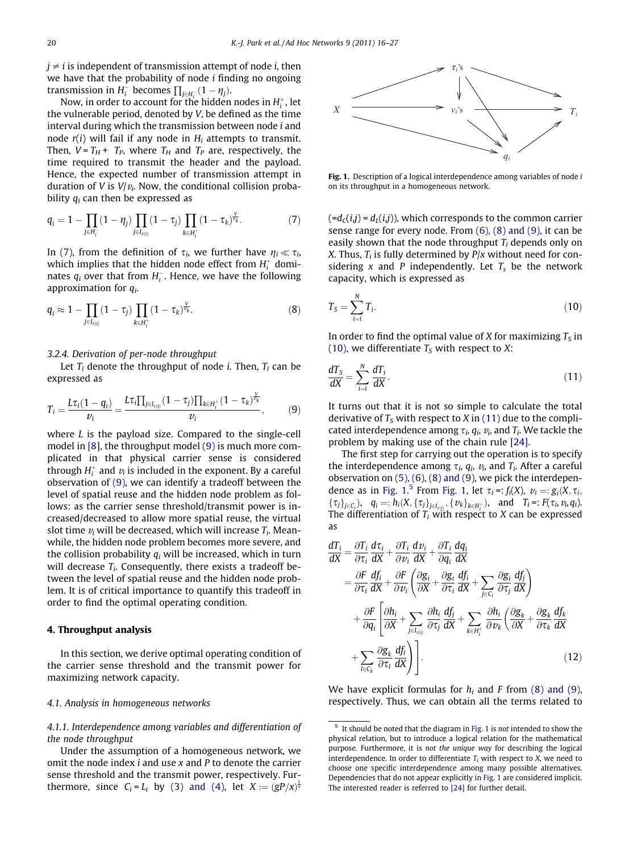<span id="page-4-0"></span> $j \neq i$  is independent of transmission attempt of node *i*, then we have that the probability of node  $i$  finding no ongoing transmission in  $H_i^-$  becomes  $\prod_{j\in H_i^-}(1-\eta_j)$ .

Now, in order to account for the hidden nodes in  $H_i^+$ , let the vulnerable period, denoted by V, be defined as the time interval during which the transmission between node i and node  $r(i)$  will fail if any node in  $H_i$  attempts to transmit. Then,  $V = T_H + T_P$ , where  $T_H$  and  $T_P$  are, respectively, the time required to transmit the header and the payload. Hence, the expected number of transmission attempt in duration of V is  $V/v_i$ . Now, the conditional collision probability  $q_i$  can then be expressed as

$$
q_i = 1 - \prod_{j \in H_i^-} (1 - \eta_j) \prod_{j \in I_{r(i)}} (1 - \tau_j) \prod_{k \in H_i^+} (1 - \tau_k)^{\frac{V}{p_k}}.
$$
 (7)

In (7), from the definition of  $\tau_i$ , we further have  $\eta_i \ll \tau_i$ , which implies that the hidden node effect from  $H_i^+$  dominates  $q_i$  over that from  $H_i^-$ . Hence, we have the following approximation for  $q_i$ .

$$
q_i \approx 1 - \prod_{j \in I_{r(i)}} (1 - \tau_j) \prod_{k \in H_i^+} (1 - \tau_k)^{\frac{V}{r_k}}.
$$
 (8)

#### 3.2.4. Derivation of per-node throughput

Let  $T_i$  denote the throughput of node *i*. Then,  $T_i$  can be expressed as

$$
T_i = \frac{L\tau_i(1-q_i)}{\nu_i} = \frac{L\tau_i\prod_{j\in I_{r(i)}}(1-\tau_j)\prod_{k\in H_i^+}(1-\tau_k)^{\frac{V}{\nu_k}}}{\nu_i},\qquad(9)
$$

where  $L$  is the payload size. Compared to the single-cell model in [\[8\]](#page-9-0), the throughput model (9) is much more complicated in that physical carrier sense is considered through  $H_i^+$  and  $v_i$  is included in the exponent. By a careful observation of (9), we can identify a tradeoff between the level of spatial reuse and the hidden node problem as follows: as the carrier sense threshold/transmit power is increased/decreased to allow more spatial reuse, the virtual slot time  $v_i$  will be decreased, which will increase  $T_i$ . Meanwhile, the hidden node problem becomes more severe, and the collision probability  $q_i$  will be increased, which in turn will decrease  $T_i$ . Consequently, there exists a tradeoff between the level of spatial reuse and the hidden node problem. It is of critical importance to quantify this tradeoff in order to find the optimal operating condition.

## 4. Throughput analysis

In this section, we derive optimal operating condition of the carrier sense threshold and the transmit power for maximizing network capacity.

#### 4.1. Analysis in homogeneous networks

4.1.1. Interdependence among variables and differentiation of the node throughput

Under the assumption of a homogeneous network, we omit the node index  $i$  and use  $x$  and  $P$  to denote the carrier sense threshold and the transmit power, respectively. Furthermore, since  $C_i = L_i$  by [\(3\) and \(4\)](#page-2-0), let  $X := (gP/x)^{\frac{1}{\theta}}$ 



Fig. 1. Description of a logical interdependence among variables of node  $i$ on its throughput in a homogeneous network.

 $(=d<sub>C</sub>(i,j) = d<sub>L</sub>(i,j))$ , which corresponds to the common carrier sense range for every node. From [\(6\), \(8\) and \(9\)](#page-3-0), it can be easily shown that the node throughput  $T_i$  depends only on X. Thus,  $T_i$  is fully determined by  $P/x$  without need for considering x and P independently. Let  $T_s$  be the network capacity, which is expressed as

$$
T_S = \sum_{i=i}^{N} T_i. \tag{10}
$$

In order to find the optimal value of  $X$  for maximizing  $T_S$  in (10), we differentiate  $T_S$  with respect to X:

$$
\frac{dT_S}{dX} = \sum_{i=i}^{N} \frac{dT_i}{dX}.
$$
\n(11)

It turns out that it is not so simple to calculate the total derivative of  $T<sub>S</sub>$  with respect to X in (11) due to the complicated interdependence among  $\tau_i$ ,  $q_i$ ,  $v_i$ , and  $T_i$ . We tackle the problem by making use of the chain rule [\[24\]](#page-10-0).

The first step for carrying out the operation is to specify the interdependence among  $\tau_i$ ,  $q_i$ ,  $v_i$ , and  $T_i$ . After a careful observation on [\(5\), \(6\), \(8\) and \(9\),](#page-3-0) we pick the interdependence as in Fig. 1.<sup>5</sup> From Fig. 1, let  $\tau_i =: f_i(X), v_i =: g_i(X, \tau_i)$  $\{\tau_j\}_{j \in C_i}$ ,  $q_i =: h_i(X, {\{\tau_j\}}_{j \in I_{r(i)}}, {\{\nu_k\}}_{k \in H_i^+})$ , and  $T_i =: F(\tau_i, \nu_i, q_i)$ . The differentiation of  $T_i$  with respect to X can be expressed as

$$
\frac{dT_i}{dX} = \frac{\partial T_i}{\partial \tau_i} \frac{d\tau_i}{dX} + \frac{\partial T_i}{\partial v_i} \frac{d\tau_i}{dX} + \frac{\partial T_i}{\partial q_i} \frac{d\tau_i}{dX}
$$
\n
$$
= \frac{\partial F}{\partial \tau_i} \frac{df_i}{dX} + \frac{\partial F}{\partial v_i} \left( \frac{\partial g_i}{\partial X} + \frac{\partial g_i}{\partial \tau_i} \frac{df_i}{dX} + \sum_{j \in C_i} \frac{\partial g_i}{\partial \tau_j} \frac{df_j}{dX} \right)
$$
\n
$$
+ \frac{\partial F}{\partial q_i} \left[ \frac{\partial h_i}{\partial X} + \sum_{j \in I_{r(i)}} \frac{\partial h_i}{\partial \tau_j} \frac{df_j}{dX} + \sum_{k \in H_i^+} \frac{\partial h_i}{\partial v_k} \left( \frac{\partial g_k}{\partial X} + \frac{\partial g_k}{\partial \tau_k} \frac{df_k}{dX} \right) + \sum_{l \in C_k} \frac{\partial g_k}{\partial \tau_l} \frac{df_l}{dX} \right) \right].
$$
\n(12)

We have explicit formulas for  $h_i$  and F from (8) and (9), respectively. Thus, we can obtain all the terms related to

 $^{\rm 5}$  It should be noted that the diagram in Fig. 1 is not intended to show the physical relation, but to introduce a logical relation for the mathematical purpose. Furthermore, it is not the unique way for describing the logical interdependence. In order to differentiate  $T_i$  with respect to  $X$ , we need to choose one specific interdependence among many possible alternatives. Dependencies that do not appear explicitly in Fig. 1 are considered implicit. The interested reader is referred to [\[24\]](#page-10-0) for further detail.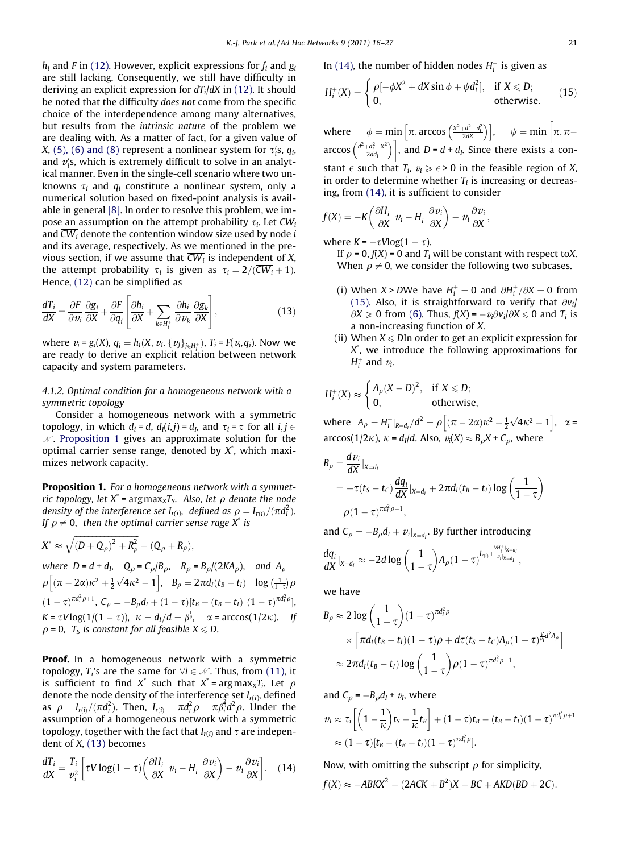<span id="page-5-0"></span> $h_i$  and F in [\(12\).](#page-4-0) However, explicit expressions for  $f_i$  and  $g_i$ are still lacking. Consequently, we still have difficulty in deriving an explicit expression for  $dT_i/dX$  in [\(12\).](#page-4-0) It should be noted that the difficulty does not come from the specific choice of the interdependence among many alternatives, but results from the intrinsic nature of the problem we are dealing with. As a matter of fact, for a given value of X, [\(5\), \(6\) and \(8\)](#page-3-0) represent a nonlinear system for  $\tau_i$ 's,  $q_i$ , and  $v_i'$ s, which is extremely difficult to solve in an analytical manner. Even in the single-cell scenario where two unknowns  $\tau_i$  and  $q_i$  constitute a nonlinear system, only a numerical solution based on fixed-point analysis is available in general [\[8\].](#page-9-0) In order to resolve this problem, we impose an assumption on the attempt probability  $\tau_i$ . Let CW<sub>i</sub> and  $\overline{CW_i}$  denote the contention window size used by node i and its average, respectively. As we mentioned in the previous section, if we assume that  $\overline{CW_i}$  is independent of X, the attempt probability  $\tau_i$  is given as  $\tau_i = 2/(\overline{CW_i} + 1)$ . Hence, [\(12\)](#page-4-0) can be simplified as

$$
\frac{dT_i}{dX} = \frac{\partial F}{\partial v_i} \frac{\partial g_i}{\partial X} + \frac{\partial F}{\partial q_i} \left[ \frac{\partial h_i}{\partial X} + \sum_{k \in H_i^+} \frac{\partial h_i}{\partial v_k} \frac{\partial g_k}{\partial X} \right],
$$
(13)

where  $v_i = g_i(X)$ ,  $q_i = h_i(X, v_i, \{v_j\}_{j \in H_i^+})$ ,  $T_i = F(v_i, q_i)$ . Now we are ready to derive an explicit relation between network capacity and system parameters.

# 4.1.2. Optimal condition for a homogeneous network with a symmetric topology

Consider a homogeneous network with a symmetric topology, in which  $d_i = d$ ,  $d_i(i,j) = d_i$ , and  $\tau_i = \tau$  for all  $i, j \in$  $M$ . Proposition 1 gives an approximate solution for the optimal carrier sense range, denoted by  $X^*$ , which maximizes network capacity.

Proposition 1. For a homogeneous network with a symmetric topology, let  $X^*$  = argmax<sub>X</sub>T<sub>S</sub>. Also, let  $\rho$  denote the node density of the interference set I<sub>r(i)</sub>, defined as  $\rho=I_{r(i)}/(\pi d_{I}^{2})$ . If  $\rho \neq 0$ , then the optimal carrier sense rage X<sup>\*</sup> is

$$
X^* \approx \sqrt{(D+Q_\rho)^2 + R_\rho^2} - (Q_\rho + R_\rho),
$$

where  $D = d + d_l$ ,  $Q_\rho = C_\rho / B_\rho$ ,  $R_\rho = B_\rho / (2K A_\rho)$ , and  $A_\rho =$  $\rho \left[ (\pi - 2\alpha)\kappa^2 + \frac{1}{2} \sqrt{4\kappa^2 - 1} \right], \quad B_\rho = 2\pi d_I(t_B - t_I) \quad \log \left( \frac{1}{1 - \tau} \right) \rho$  $\left(1-\tau\right)^{\pi d_{I}^{2} \rho +1}, \: \mathcal{C}_{\rho} = -B_{\rho}d_{I} + (1-\tau)[t_{B} - (t_{B} - t_{I}) \: \left(1-\tau\right)^{\pi d_{I}^{2} \rho}],$  $K = \tau V \log(1/(1 - \tau))$ ,  $\kappa = d_I/d = \beta^{\frac{1}{\theta}}$ ,  $\alpha = \arccos(1/2\kappa)$ . If  $\rho$  = 0,  $T_s$  is constant for all feasible  $X \le D$ .

**Proof.** In a homogeneous network with a symmetric topology,  $T_i$ 's are the same for  $\forall i \in \mathcal{N}$ . Thus, from [\(11\),](#page-4-0) it is sufficient to find X<sup>\*</sup> such that X<sup>\*</sup> = argmax<sub>X</sub>T<sub>i</sub>. Let  $\rho$ denote the node density of the interference set  $I_{r(i)}$ , defined as  $\rho = I_{r(i)}/(\pi d_i^2)$ . Then,  $I_{r(i)} = \pi d_i^2 \rho = \pi \beta_i^2 d^2 \rho$ . Under the assumption of a homogeneous network with a symmetric topology, together with the fact that  $I_{r(i)}$  and  $\tau$  are independent of  $X$ , (13) becomes

$$
\frac{dT_i}{dX} = \frac{T_i}{v_i^2} \left[ \tau V \log(1 - \tau) \left( \frac{\partial H_i^+}{\partial X} v_i - H_i^+ \frac{\partial v_i}{\partial X} \right) - v_i \frac{\partial v_i}{\partial X} \right].
$$
 (14)

In (14), the number of hidden nodes  $H_i^+$  is given as

$$
H_i^+(X) = \begin{cases} \rho[-\phi X^2 + dX \sin \phi + \psi d_i^2], & \text{if } X \leq D; \\ 0, & \text{otherwise.} \end{cases}
$$
 (15)

where  $\phi = \min \left[ \pi, \arccos \left( \frac{X^2 + d^2 - d_l^2}{2dX} \right) \right], \quad \psi = \min \left[ \pi, \pi - \right]$ arccos  $\left(\frac{d^2+d_I^2-X^2}{2dd_I}\right)$  $\left(\frac{d^2+d_1^2-X^2}{2dd}\right)$ , and  $D=d+d_1$ . Since there exists a constant  $\epsilon$  such that  $T_i$ ,  $v_i \geq \epsilon > 0$  in the feasible region of X, in order to determine whether  $T_i$  is increasing or decreasing, from (14), it is sufficient to consider

$$
f(X) = -K \left( \frac{\partial H_i^+}{\partial X} v_i - H_i^+ \frac{\partial v_i}{\partial X} \right) - v_i \frac{\partial v_i}{\partial X},
$$

where  $K = -\tau V \log(1 - \tau)$ .

If  $\rho = 0$ ,  $f(X) = 0$  and  $T_i$  will be constant with respect toX. When  $\rho \neq 0$ , we consider the following two subcases.

- (i) When  $X > D$ We have  $H_i^+ = 0$  and  $\partial H_i^+ / \partial X = 0$  from (15). Also, it is straightforward to verify that  $\partial v_i$  $\partial X \ge 0$  from [\(6\)](#page-3-0). Thus,  $f(X) = -v_i \partial y_i / \partial X \le 0$  and  $T_i$  is a non-increasing function of X.
- (ii) When  $X \le D$ In order to get an explicit expression for X\* , we introduce the following approximations for  $H_i^+$  and  $v_i$ .

$$
H_i^+(X) \approx \begin{cases} A_{\rho}(X-D)^2, & \text{if } X \leq D; \\ 0, & \text{otherwise,} \end{cases}
$$

where  $A_{\rho} = H_i^+|_{R=d_I}/d^2 = \rho \left[ (\pi - 2\alpha)\kappa^2 + \frac{1}{2}\sqrt{4\kappa^2 - 1} \right], \alpha =$ arccos(1/2 $\kappa$ ),  $\kappa = d_I/d$ . Also,  $v_i(X) \approx B_oX + C_o$ , where

$$
B_{\rho} = \frac{d v_i}{dX}|_{X=d_l}
$$
  
=  $-\tau(t_S - t_C) \frac{dq_i}{dX}|_{X=d_l} + 2\pi d_l(t_B - t_l) \log \left(\frac{1}{1-\tau}\right)$   
 $\rho (1-\tau)^{\pi d_l^2 \rho+1},$ 

and  $C_\rho = -B_\rho d_I + v_i|_{X=d_I}$ . By further introducing

$$
\frac{dq_i}{dX}|_{X=d_I} \approx -2d\log\bigg(\frac{1}{1-\tau}\bigg)A_\rho(1-\tau)^{^{\scriptstyle I_{r(i)}+\frac{\scriptstyle{\mathcal{W}_i^+\mid_{X=d_I}}}{\scriptstyle{\nu_i|_{X=d_I}}}},
$$

we have

$$
B_{\rho} \approx 2 \log \left( \frac{1}{1-\tau} \right) (1-\tau)^{\pi d_{1}^{2} \rho}
$$
  
\$\times \left[ \pi d\_{1} (t\_{B}-t\_{1}) (1-\tau) \rho + d\tau (t\_{S}-t\_{C}) A\_{\rho} (1-\tau)^{\frac{\nu}{\mu\_{1}} d^{2} A\_{\rho}} \right] \$  
\$\approx 2 \pi d\_{1} (t\_{B}-t\_{1}) \log \left( \frac{1}{1-\tau} \right) \rho (1-\tau)^{\pi d\_{1}^{2} \rho+1},

and  $C_{\rho} = -B_{\rho}d_I + v_I$ , where

$$
\nu_l \approx \tau_i \bigg[ \bigg( 1 - \frac{1}{\kappa} \bigg) t_S + \frac{1}{\kappa} t_B \bigg] + (1 - \tau) t_B - (t_B - t_I)(1 - \tau)^{\pi d_I^2 \rho + 1}
$$
  
 
$$
\approx (1 - \tau) [t_B - (t_B - t_I)(1 - \tau)^{\pi d_I^2 \rho}].
$$

Now, with omitting the subscript  $\rho$  for simplicity,

$$
f(X) \approx -ABKX^2 - (2ACK + B^2)X - BC + AKD(BD + 2C).
$$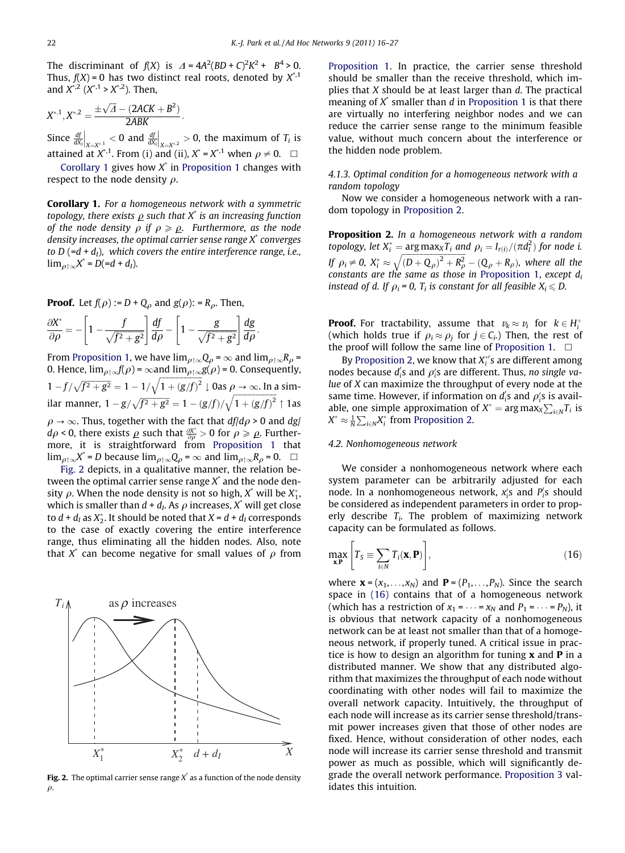<span id="page-6-0"></span>The discriminant of  $f(X)$  is  $\Delta = 4A^2(BD+C)^2K^2 + B^4 > 0$ . Thus,  $f(X) = 0$  has two distinct real roots, denoted by  $X^{*,1}$ and  $X^{*,2}$  ( $X^{*,1} > X^{*,2}$ ). Then,

$$
X^{*,1}, X^{*,2} = \frac{\pm\sqrt{\Delta} - (2ACK + B^2)}{2ABK}.
$$

Since  $\frac{df}{dX_i}$  $\left| \right|_{X = X^{*,1}} < 0$  and  $\frac{df}{dX_i}$  $\left|\int_{X=X^{*2}}$  > 0, the maximum of  $T_i$  is attained at  $X^{*,1}$ . From (i) and (ii),  $X^* = X^{*,1}$  when  $\rho \neq 0$ .  $\Box$ 

Corollary 1 gives how  $X^*$  in [Proposition 1](#page-5-0) changes with respect to the node density  $\rho$ .

Corollary 1. For a homogeneous network with a symmetric topology, there exists  $\rho$  such that X<sup>\*</sup> is an increasing function of the node density  $\rho$  if  $\rho \ge \rho$ . Furthermore, as the node density increases, the optimal carrier sense range  $X^*$  converges to  $D$  (=d + d<sub>I</sub>), which covers the entire interference range, i.e.,  $\lim_{\rho \uparrow \infty} X^* = D(-d + d_I).$ 

**Proof.** Let  $f(\rho) := D + Q_\rho$  and  $g(\rho) := R_\rho$ . Then,

$$
\frac{\partial X^*}{\partial \rho} = -\left[1 - \frac{f}{\sqrt{f^2 + g^2}}\right] \frac{df}{d\rho} - \left[1 - \frac{g}{\sqrt{f^2 + g^2}}\right] \frac{dg}{d\rho}.
$$

From [Proposition 1](#page-5-0), we have  $\lim_{\rho \uparrow \infty} Q_{\rho} = \infty$  and  $\lim_{\rho \uparrow \infty} R_{\rho} =$ 0. Hence,  $\lim_{\rho \uparrow \infty} f(\rho) = \infty$  and  $\lim_{\rho \uparrow \infty} g(\rho) = 0$ . Consequently,  $1 - f/\sqrt{f^2 + g^2} = 1 - 1/\sqrt{1 + (g/f)^2}$  $\sqrt{1 + (g/f)^2} \downarrow 0$ as  $\rho \to \infty$ . In a similar manner,  $1 - g/\sqrt{f^2 + g^2} = 1 - (g/f)/\sqrt{1 + (g/f)^2}$  $\sqrt{1 + (g/f)^2}$  $\uparrow$  1as  $\rho \rightarrow \infty$ . Thus, together with the fact that  $df/d\rho \ge 0$  and  $dg/$  $d\rho < 0$ , there exists <u> $\rho$ </u> such that  $\frac{\partial X^*}{\partial \rho} > 0$  for  $\rho \ge \rho$ . Furthermore, it is straightforward from [Proposition 1](#page-5-0) that  $\lim_{\rho \uparrow \infty} X^* = D$  because  $\lim_{\rho \uparrow \infty} Q_\rho = \infty$  and  $\lim_{\rho \uparrow \infty} R_\rho = 0. \Box$ 

Fig. 2 depicts, in a qualitative manner, the relation between the optimal carrier sense range  $X^*$  and the node density  $\rho$ . When the node density is not so high,  $X^*$  will be  $X_1^*$ , which is smaller than  $d + d_l$ . As  $\rho$  increases, X<sup>\*</sup> will get close to  $d + d_I$  as  $X_2^*$ . It should be noted that  $X = d + d_I$  corresponds to the case of exactly covering the entire interference range, thus eliminating all the hidden nodes. Also, note that X<sup>\*</sup> can become negative for small values of  $\rho$  from



Fig. 2. The optimal carrier sense range  $X^*$  as a function of the node density  $\rho$ .

[Proposition 1.](#page-5-0) In practice, the carrier sense threshold should be smaller than the receive threshold, which implies that  $X$  should be at least larger than  $d$ . The practical meaning of  $X^*$  smaller than  $d$  in [Proposition 1](#page-5-0) is that there are virtually no interfering neighbor nodes and we can reduce the carrier sense range to the minimum feasible value, without much concern about the interference or the hidden node problem.

# 4.1.3. Optimal condition for a homogeneous network with a random topology

Now we consider a homogeneous network with a random topology in Proposition 2.

Proposition 2. In a homogeneous network with a random topology, let  $X^*_i = \argmax_X T_i$  and  $\rho_i = I_{r(i)}/(\pi d_i^2)$  for node i. If  $\rho_i \neq 0$ ,  $X_i^* \approx \sqrt{(D + Q_\rho)^2 + R_\rho^2}$  $\sqrt{(D+Q_{\rho})^2+R_{\rho}^2} - (Q_{\rho}+R_{\rho})$ , where all the constants are the same as those in [Proposition 1,](#page-5-0) except  $d_i$ instead of d. If  $\rho_i = 0$ ,  $T_i$  is constant for all feasible  $X_i \le D$ .

**Proof.** For tractability, assume that  $v_k \approx v_i$  for  $k \in H_i^+$ (which holds true if  $\rho_i \approx \rho_j$  for  $j \in C_i$ .) Then, the rest of the proof will follow the same line of [Proposition 1](#page-5-0).  $\Box$ 

By Proposition 2, we know that  $X_i^*$ s are different among nodes because  $d_i$ 's and  $\rho_i$ 's are different. Thus, no single value of X can maximize the throughput of every node at the same time. However, if information on  $d_i$ 's and  $\rho_i$ 's is available, one simple approximation of  $X^* = \arg \max_{\sum_{i \in N} T_i}$  is  $X^* \approx \frac{1}{N} \sum_{i \in N} X_i^*$  from Proposition 2.

### 4.2. Nonhomogeneous network

We consider a nonhomogeneous network where each system parameter can be arbitrarily adjusted for each node. In a nonhomogeneous network,  $x_i$ 's and  $P_i$ 's should be considered as independent parameters in order to properly describe  $T_i$ . The problem of maximizing network capacity can be formulated as follows.

$$
\max_{\mathbf{x}, \mathbf{P}} \left[ T_{\mathcal{S}} \equiv \sum_{i \in N} T_i(\mathbf{x}, \mathbf{P}) \right],
$$
 (16)

where  $\mathbf{x} = (x_1, \ldots, x_N)$  and  $\mathbf{P} = (P_1, \ldots, P_N)$ . Since the search space in (16) contains that of a homogeneous network (which has a restriction of  $x_1 = \cdots = x_N$  and  $P_1 = \cdots = P_N$ ), it is obvious that network capacity of a nonhomogeneous network can be at least not smaller than that of a homogeneous network, if properly tuned. A critical issue in practice is how to design an algorithm for tuning  $x$  and  $P$  in a distributed manner. We show that any distributed algorithm that maximizes the throughput of each node without coordinating with other nodes will fail to maximize the overall network capacity. Intuitively, the throughput of each node will increase as its carrier sense threshold/transmit power increases given that those of other nodes are fixed. Hence, without consideration of other nodes, each node will increase its carrier sense threshold and transmit power as much as possible, which will significantly degrade the overall network performance. [Proposition 3](#page-7-0) validates this intuition.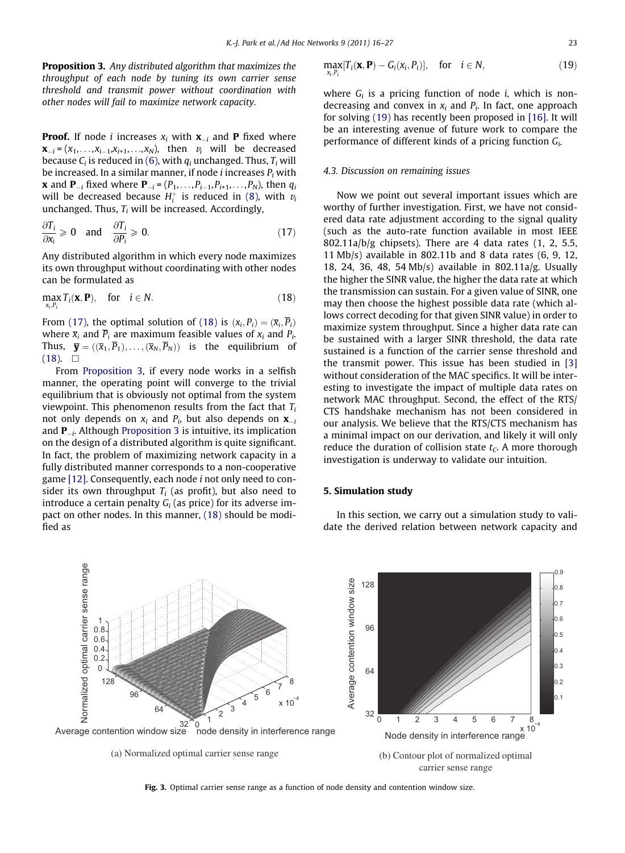<span id="page-7-0"></span>Proposition 3. Any distributed algorithm that maximizes the throughput of each node by tuning its own carrier sense threshold and transmit power without coordination with other nodes will fail to maximize network capacity.

**Proof.** If node *i* increases  $x_i$  with  $x_{-i}$  and **P** fixed where  $\mathbf{x}_{-i} = (x_1,\ldots,x_{i-1},x_{i+1},\ldots,x_N)$ , then  $v_i$  will be decreased because  $C_i$  is reduced in [\(6\)](#page-3-0), with  $q_i$  unchanged. Thus,  $T_i$  will be increased. In a similar manner, if node *i* increases  $P_i$  with **x** and  $\mathbf{P}_{-i}$  fixed where  $\mathbf{P}_{-i} = (P_1, \ldots, P_{i-1}, P_{i+1}, \ldots, P_N)$ , then  $q_i$ will be decreased because  $H_i^+$  is reduced in [\(8\),](#page-4-0) with  $v_i$ unchanged. Thus,  $T_i$  will be increased. Accordingly,

$$
\frac{\partial T_i}{\partial x_i} \geq 0 \quad \text{and} \quad \frac{\partial T_i}{\partial P_i} \geq 0. \tag{17}
$$

Any distributed algorithm in which every node maximizes its own throughput without coordinating with other nodes can be formulated as

$$
\max_{x_i, P_i} T_i(\mathbf{x}, \mathbf{P}), \quad \text{for} \quad i \in \mathbb{N}.\tag{18}
$$

From (17), the optimal solution of (18) is  $(x_i, P_i) = (\overline{x}_i, \overline{P}_i)$ where  $\bar{x}_i$  and  $\bar{P}_i$  are maximum feasible values of  $x_i$  and  $P_i$ . Thus,  $\overline{\mathbf{y}} = ((\overline{x}_1, \overline{P}_1), \dots, (\overline{x}_N, \overline{P}_N))$  is the equilibrium of  $(18)$ .  $\Box$ 

From Proposition 3, if every node works in a selfish manner, the operating point will converge to the trivial equilibrium that is obviously not optimal from the system viewpoint. This phenomenon results from the fact that  $T_i$ not only depends on  $x_i$  and  $P_i$ , but also depends on  $\mathbf{x}_{-i}$ and  $P_{-i}$ . Although Proposition 3 is intuitive, its implication on the design of a distributed algorithm is quite significant. In fact, the problem of maximizing network capacity in a fully distributed manner corresponds to a non-cooperative game [\[12\].](#page-9-0) Consequently, each node i not only need to consider its own throughput  $T_i$  (as profit), but also need to introduce a certain penalty  $G_i$  (as price) for its adverse impact on other nodes. In this manner, (18) should be modified as

$$
\max_{x_i, P_i} [T_i(\mathbf{x}, \mathbf{P}) - G_i(x_i, P_i)], \quad \text{for} \quad i \in \mathbb{N}, \tag{19}
$$

where  $G_i$  is a pricing function of node *i*, which is nondecreasing and convex in  $x_i$  and  $P_i$ . In fact, one approach for solving (19) has recently been proposed in [\[16\].](#page-10-0) It will be an interesting avenue of future work to compare the performance of different kinds of a pricing function  $G_i$ .

## 4.3. Discussion on remaining issues

Now we point out several important issues which are worthy of further investigation. First, we have not considered data rate adjustment according to the signal quality (such as the auto-rate function available in most IEEE 802.11a/b/g chipsets). There are 4 data rates  $(1, 2, 5.5, 5)$ 11 Mb/s) available in 802.11b and 8 data rates (6, 9, 12, 18, 24, 36, 48, 54 Mb/s) available in 802.11a/g. Usually the higher the SINR value, the higher the data rate at which the transmission can sustain. For a given value of SINR, one may then choose the highest possible data rate (which allows correct decoding for that given SINR value) in order to maximize system throughput. Since a higher data rate can be sustained with a larger SINR threshold, the data rate sustained is a function of the carrier sense threshold and the transmit power. This issue has been studied in [\[3\]](#page-9-0) without consideration of the MAC specifics. It will be interesting to investigate the impact of multiple data rates on network MAC throughput. Second, the effect of the RTS/ CTS handshake mechanism has not been considered in our analysis. We believe that the RTS/CTS mechanism has a minimal impact on our derivation, and likely it will only reduce the duration of collision state  $t_C$ . A more thorough investigation is underway to validate our intuition.

## 5. Simulation study

In this section, we carry out a simulation study to validate the derived relation between network capacity and

carrier sense range



Fig. 3. Optimal carrier sense range as a function of node density and contention window size.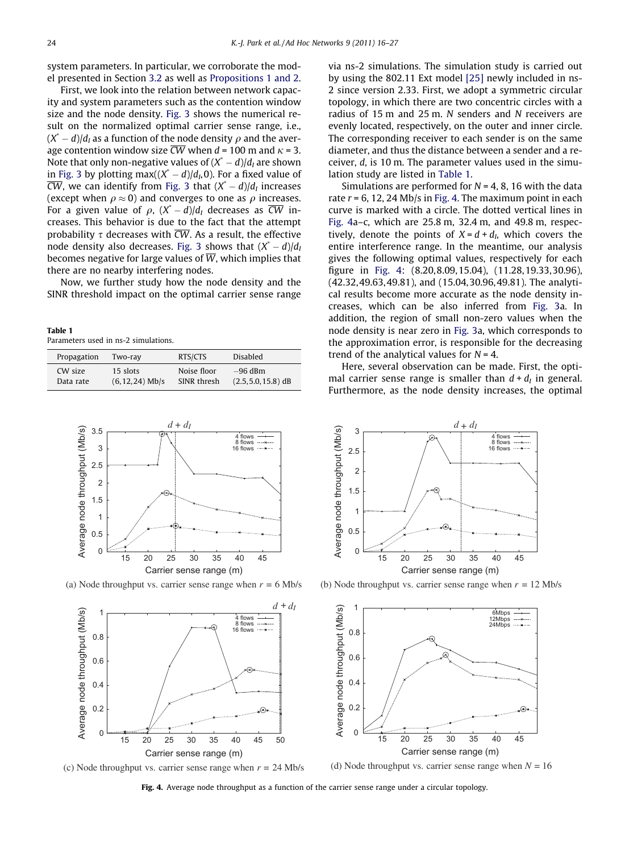<span id="page-8-0"></span>system parameters. In particular, we corroborate the model presented in Section 3.2 as well as [Propositions 1 and 2](#page-5-0).

First, we look into the relation between network capacity and system parameters such as the contention window size and the node density. [Fig. 3](#page-7-0) shows the numerical result on the normalized optimal carrier sense range, i.e.,  $(X^* - d)/d<sub>I</sub>$  as a function of the node density  $\rho$  and the average contention window size  $\overline{CW}$  when d = 100 m and  $\kappa$  = 3. Note that only non-negative values of  $(X^* - d)/d_I$  are shown in [Fig. 3](#page-7-0) by plotting max $((X^* - d)/d_i, 0)$ . For a fixed value of  $\overline{CW}$ , we can identify from [Fig. 3](#page-7-0) that  $(X^* - d)/d_I$  increases (except when  $\rho \approx 0$ ) and converges to one as  $\rho$  increases. For a given value of  $\rho$ ,  $(X^* - d)/d_I$  decreases as  $\overline{CW}$  increases. This behavior is due to the fact that the attempt probability  $\tau$  decreases with  $\overline{CW}$ . As a result, the effective node density also decreases. [Fig. 3](#page-7-0) shows that  $(X^* - d)/d_I$ becomes negative for large values of  $\overline{W}$ , which implies that there are no nearby interfering nodes.

Now, we further study how the node density and the SINR threshold impact on the optimal carrier sense range

Table 1 Parameters used in ns-2 simulations.

| Propagation | Two-ray | RTS/CTS | Disabled |
|-------------|---------|---------|----------|

| Propagation | IWU-IdV            | LIJ/LIJ     | Disabled              |
|-------------|--------------------|-------------|-----------------------|
| CW size     | 15 slots           | Noise floor | $-96$ dBm             |
| Data rate   | $(6, 12, 24)$ Mb/s | SINR thresh | $(2.5, 5.0, 15.8)$ dB |





(c) Node throughput vs. carrier sense range when  $r = 24$  Mb/s (d) Node throughput vs. carrier sense range when  $N = 16$ 

via ns-2 simulations. The simulation study is carried out by using the 802.11 Ext model [\[25\]](#page-10-0) newly included in ns-2 since version 2.33. First, we adopt a symmetric circular topology, in which there are two concentric circles with a radius of 15 m and 25 m. N senders and N receivers are evenly located, respectively, on the outer and inner circle. The corresponding receiver to each sender is on the same diameter, and thus the distance between a sender and a receiver, d, is 10 m. The parameter values used in the simulation study are listed in Table 1.

Simulations are performed for  $N = 4$ , 8, 16 with the data rate  $r = 6$ , 12, 24 Mb/s in Fig. 4. The maximum point in each curve is marked with a circle. The dotted vertical lines in Fig. 4a–c, which are 25.8 m, 32.4 m, and 49.8 m, respectively, denote the points of  $X = d + d_i$ , which covers the entire interference range. In the meantime, our analysis gives the following optimal values, respectively for each figure in Fig. 4: (8.20,8.09,15.04), (11.28,19.33,30.96), (42.32,49.63,49.81), and (15.04,30.96,49.81). The analytical results become more accurate as the node density increases, which can be also inferred from [Fig. 3a](#page-7-0). In addition, the region of small non-zero values when the node density is near zero in [Fig. 3](#page-7-0)a, which corresponds to the approximation error, is responsible for the decreasing trend of the analytical values for  $N = 4$ .

Here, several observation can be made. First, the optimal carrier sense range is smaller than  $d + d<sub>I</sub>$  in general. Furthermore, as the node density increases, the optimal



(a) Node throughput vs. carrier sense range when  $r = 6$  Mb/s (b) Node throughput vs. carrier sense range when  $r = 12$  Mb/s





Fig. 4. Average node throughput as a function of the carrier sense range under a circular topology.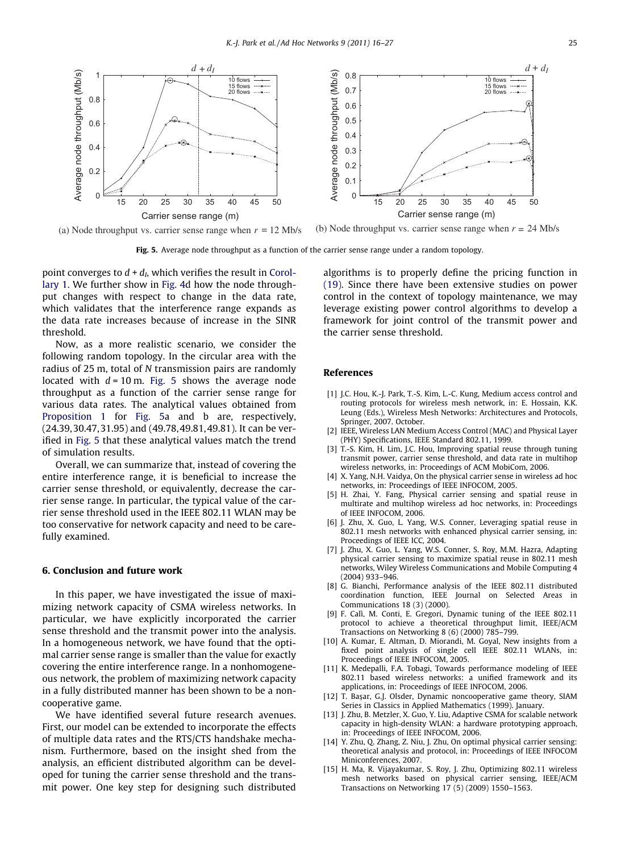<span id="page-9-0"></span>

(a) Node throughput vs. carrier sense range when  $r = 12$  Mb/s (b) Node throughput vs. carrier sense range when  $r = 24$  Mb/s

Fig. 5. Average node throughput as a function of the carrier sense range under a random topology.

point converges to  $d + d_l$ , which verifies the result in [Corol](#page-6-0)[lary 1.](#page-6-0) We further show in [Fig. 4d](#page-8-0) how the node throughput changes with respect to change in the data rate, which validates that the interference range expands as the data rate increases because of increase in the SINR threshold.

Now, as a more realistic scenario, we consider the following random topology. In the circular area with the radius of 25 m, total of N transmission pairs are randomly located with  $d = 10$  m. Fig. 5 shows the average node throughput as a function of the carrier sense range for various data rates. The analytical values obtained from [Proposition 1](#page-5-0) for Fig. 5a and b are, respectively, (24.39,30.47,31.95) and (49.78,49.81,49.81). It can be verified in Fig. 5 that these analytical values match the trend of simulation results.

Overall, we can summarize that, instead of covering the entire interference range, it is beneficial to increase the carrier sense threshold, or equivalently, decrease the carrier sense range. In particular, the typical value of the carrier sense threshold used in the IEEE 802.11 WLAN may be too conservative for network capacity and need to be carefully examined.

## 6. Conclusion and future work

In this paper, we have investigated the issue of maximizing network capacity of CSMA wireless networks. In particular, we have explicitly incorporated the carrier sense threshold and the transmit power into the analysis. In a homogeneous network, we have found that the optimal carrier sense range is smaller than the value for exactly covering the entire interference range. In a nonhomogeneous network, the problem of maximizing network capacity in a fully distributed manner has been shown to be a noncooperative game.

We have identified several future research avenues. First, our model can be extended to incorporate the effects of multiple data rates and the RTS/CTS handshake mechanism. Furthermore, based on the insight shed from the analysis, an efficient distributed algorithm can be developed for tuning the carrier sense threshold and the transmit power. One key step for designing such distributed

algorithms is to properly define the pricing function in [\(19\).](#page-7-0) Since there have been extensive studies on power control in the context of topology maintenance, we may leverage existing power control algorithms to develop a framework for joint control of the transmit power and the carrier sense threshold.

### References

- [1] J.C. Hou, K.-J. Park, T.-S. Kim, L.-C. Kung, Medium access control and routing protocols for wireless mesh network, in: E. Hossain, K.K. Leung (Eds.), Wireless Mesh Networks: Architectures and Protocols, Springer, 2007. October.
- [2] IEEE, Wireless LAN Medium Access Control (MAC) and Physical Layer (PHY) Specifications, IEEE Standard 802.11, 1999.
- [3] T.-S. Kim, H. Lim, J.C. Hou, Improving spatial reuse through tuning transmit power, carrier sense threshold, and data rate in multihop wireless networks, in: Proceedings of ACM MobiCom, 2006.
- X. Yang, N.H. Vaidya, On the physical carrier sense in wireless ad hoc networks, in: Proceedings of IEEE INFOCOM, 2005.
- [5] H. Zhai, Y. Fang, Physical carrier sensing and spatial reuse in multirate and multihop wireless ad hoc networks, in: Proceedings of IEEE INFOCOM, 2006.
- [6] J. Zhu, X. Guo, L. Yang, W.S. Conner, Leveraging spatial reuse in 802.11 mesh networks with enhanced physical carrier sensing, in: Proceedings of IEEE ICC, 2004.
- [7] J. Zhu, X. Guo, L. Yang, W.S. Conner, S. Roy, M.M. Hazra, Adapting physical carrier sensing to maximize spatial reuse in 802.11 mesh networks, Wiley Wireless Communications and Mobile Computing 4 (2004) 933–946.
- [8] G. Bianchi, Performance analysis of the IEEE 802.11 distributed coordination function, IEEE Journal on Selected Areas in Communications 18 (3) (2000).
- [9] F. Calì, M. Conti, E. Gregori, Dynamic tuning of the IEEE 802.11 protocol to achieve a theoretical throughput limit, IEEE/ACM Transactions on Networking 8 (6) (2000) 785–799.
- [10] A. Kumar, E. Altman, D. Miorandi, M. Goyal, New insights from a fixed point analysis of single cell IEEE 802.11 WLANs, in: Proceedings of IEEE INFOCOM, 2005.
- [11] K. Medepalli, F.A. Tobagi, Towards performance modeling of IEEE 802.11 based wireless networks: a unified framework and its applications, in: Proceedings of IEEE INFOCOM, 2006.
- [12] T. Başar, G.J. Olsder, Dynamic noncooperative game theory, SIAM Series in Classics in Applied Mathematics (1999). January.
- [13] J. Zhu, B. Metzler, X. Guo, Y. Liu, Adaptive CSMA for scalable network capacity in high-density WLAN: a hardware prototyping approach, in: Proceedings of IEEE INFOCOM, 2006.
- [14] Y. Zhu, Q. Zhang, Z. Niu, J. Zhu, On optimal physical carrier sensing: theoretical analysis and protocol, in: Proceedings of IEEE INFOCOM Miniconferences, 2007.
- [15] H. Ma, R. Vijayakumar, S. Roy, J. Zhu, Optimizing 802.11 wireless mesh networks based on physical carrier sensing, IEEE/ACM Transactions on Networking 17 (5) (2009) 1550–1563.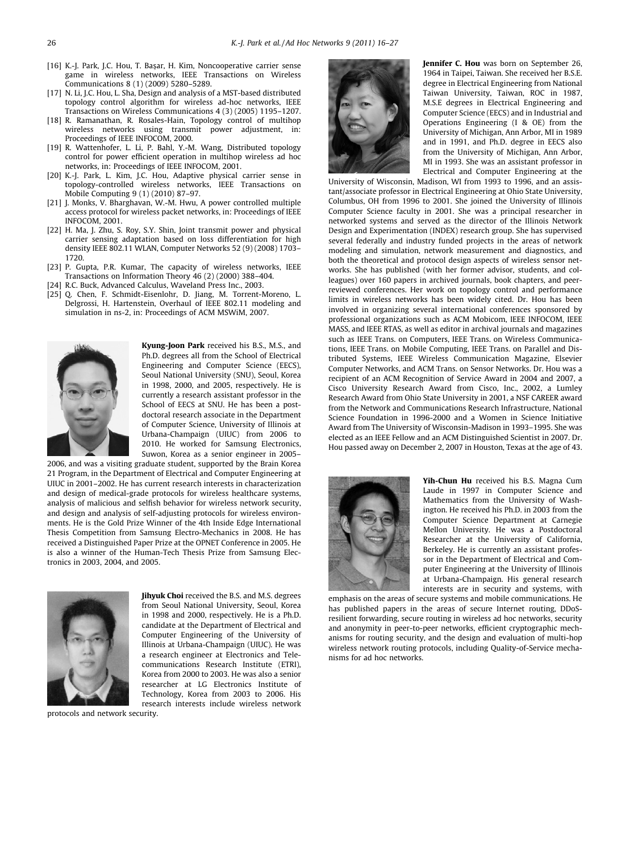- <span id="page-10-0"></span>[16] K.-J. Park, J.C. Hou, T. Başar, H. Kim, Noncooperative carrier sense game in wireless networks, IEEE Transactions on Wireless Communications 8 (1) (2009) 5280–5289.
- [17] N. Li, J.C. Hou, L. Sha, Design and analysis of a MST-based distributed topology control algorithm for wireless ad-hoc networks, IEEE Transactions on Wireless Communications 4 (3) (2005) 1195–1207.
- [18] R. Ramanathan, R. Rosales-Hain, Topology control of multihop wireless networks using transmit power adjustment, in: Proceedings of IEEE INFOCOM, 2000.
- [19] R. Wattenhofer, L. Li, P. Bahl, Y.-M. Wang, Distributed topology control for power efficient operation in multihop wireless ad hoc networks, in: Proceedings of IEEE INFOCOM, 2001.
- [20] K.-J. Park, L. Kim, J.C. Hou, Adaptive physical carrier sense in topology-controlled wireless networks, IEEE Transactions on Mobile Computing 9 (1) (2010) 87–97.
- [21] J. Monks, V. Bharghavan, W.-M. Hwu, A power controlled multiple access protocol for wireless packet networks, in: Proceedings of IEEE INFOCOM, 2001.
- [22] H. Ma, J. Zhu, S. Roy, S.Y. Shin, Joint transmit power and physical carrier sensing adaptation based on loss differentiation for high density IEEE 802.11 WLAN, Computer Networks 52 (9) (2008) 1703– 1720.
- [23] P. Gupta, P.R. Kumar, The capacity of wireless networks, IEEE Transactions on Information Theory 46 (2) (2000) 388–404.
- [24] R.C. Buck, Advanced Calculus, Waveland Press Inc., 2003.
- [25] Q. Chen, F. Schmidt-Eisenlohr, D. Jiang, M. Torrent-Moreno, L. Delgrossi, H. Hartenstein, Overhaul of IEEE 802.11 modeling and simulation in ns-2, in: Proceedings of ACM MSWiM, 2007.



Kyung-Joon Park received his B.S., M.S., and Ph.D. degrees all from the School of Electrical Engineering and Computer Science (EECS), Seoul National University (SNU), Seoul, Korea in 1998, 2000, and 2005, respectively. He is currently a research assistant professor in the School of EECS at SNU. He has been a postdoctoral research associate in the Department of Computer Science, University of Illinois at Urbana-Champaign (UIUC) from 2006 to 2010. He worked for Samsung Electronics, Suwon, Korea as a senior engineer in 2005–

2006, and was a visiting graduate student, supported by the Brain Korea 21 Program, in the Department of Electrical and Computer Engineering at UIUC in 2001–2002. He has current research interests in characterization and design of medical-grade protocols for wireless healthcare systems, analysis of malicious and selfish behavior for wireless network security, and design and analysis of self-adjusting protocols for wireless environments. He is the Gold Prize Winner of the 4th Inside Edge International Thesis Competition from Samsung Electro-Mechanics in 2008. He has received a Distinguished Paper Prize at the OPNET Conference in 2005. He is also a winner of the Human-Tech Thesis Prize from Samsung Electronics in 2003, 2004, and 2005.



Jihyuk Choi received the B.S. and M.S. degrees from Seoul National University, Seoul, Korea in 1998 and 2000, respectively. He is a Ph.D. candidate at the Department of Electrical and Computer Engineering of the University of Illinois at Urbana-Champaign (UIUC). He was a research engineer at Electronics and Telecommunications Research Institute (ETRI), Korea from 2000 to 2003. He was also a senior researcher at LG Electronics Institute of Technology, Korea from 2003 to 2006. His research interests include wireless network

protocols and network security.



Jennifer C. Hou was born on September 26, 1964 in Taipei, Taiwan. She received her B.S.E. degree in Electrical Engineering from National Taiwan University, Taiwan, ROC in 1987, M.S.E degrees in Electrical Engineering and Computer Science (EECS) and in Industrial and Operations Engineering (I & OE) from the University of Michigan, Ann Arbor, MI in 1989 and in 1991, and Ph.D. degree in EECS also from the University of Michigan, Ann Arbor, MI in 1993. She was an assistant professor in Electrical and Computer Engineering at the

University of Wisconsin, Madison, WI from 1993 to 1996, and an assistant/associate professor in Electrical Engineering at Ohio State University, Columbus, OH from 1996 to 2001. She joined the University of Illinois Computer Science faculty in 2001. She was a principal researcher in networked systems and served as the director of the Illinois Network Design and Experimentation (INDEX) research group. She has supervised several federally and industry funded projects in the areas of network modeling and simulation, network measurement and diagnostics, and both the theoretical and protocol design aspects of wireless sensor networks. She has published (with her former advisor, students, and colleagues) over 160 papers in archived journals, book chapters, and peerreviewed conferences. Her work on topology control and performance limits in wireless networks has been widely cited. Dr. Hou has been involved in organizing several international conferences sponsored by professional organizations such as ACM Mobicom, IEEE INFOCOM, IEEE MASS, and IEEE RTAS, as well as editor in archival journals and magazines such as IEEE Trans. on Computers, IEEE Trans. on Wireless Communications, IEEE Trans. on Mobile Computing, IEEE Trans. on Parallel and Distributed Systems, IEEE Wireless Communication Magazine, Elsevier Computer Networks, and ACM Trans. on Sensor Networks. Dr. Hou was a recipient of an ACM Recognition of Service Award in 2004 and 2007, a Cisco University Research Award from Cisco, Inc., 2002, a Lumley Research Award from Ohio State University in 2001, a NSF CAREER award from the Network and Communications Research Infrastructure, National Science Foundation in 1996-2000 and a Women in Science Initiative Award from The University of Wisconsin-Madison in 1993–1995. She was elected as an IEEE Fellow and an ACM Distinguished Scientist in 2007. Dr. Hou passed away on December 2, 2007 in Houston, Texas at the age of 43.



Yih-Chun Hu received his B.S. Magna Cum Laude in 1997 in Computer Science and Mathematics from the University of Washington. He received his Ph.D. in 2003 from the Computer Science Department at Carnegie Mellon University. He was a Postdoctoral Researcher at the University of California, Berkeley. He is currently an assistant professor in the Department of Electrical and Computer Engineering at the University of Illinois at Urbana-Champaign. His general research interests are in security and systems, with

emphasis on the areas of secure systems and mobile communications. He has published papers in the areas of secure Internet routing, DDoSresilient forwarding, secure routing in wireless ad hoc networks, security and anonymity in peer-to-peer networks, efficient cryptographic mechanisms for routing security, and the design and evaluation of multi-hop wireless network routing protocols, including Quality-of-Service mechanisms for ad hoc networks.